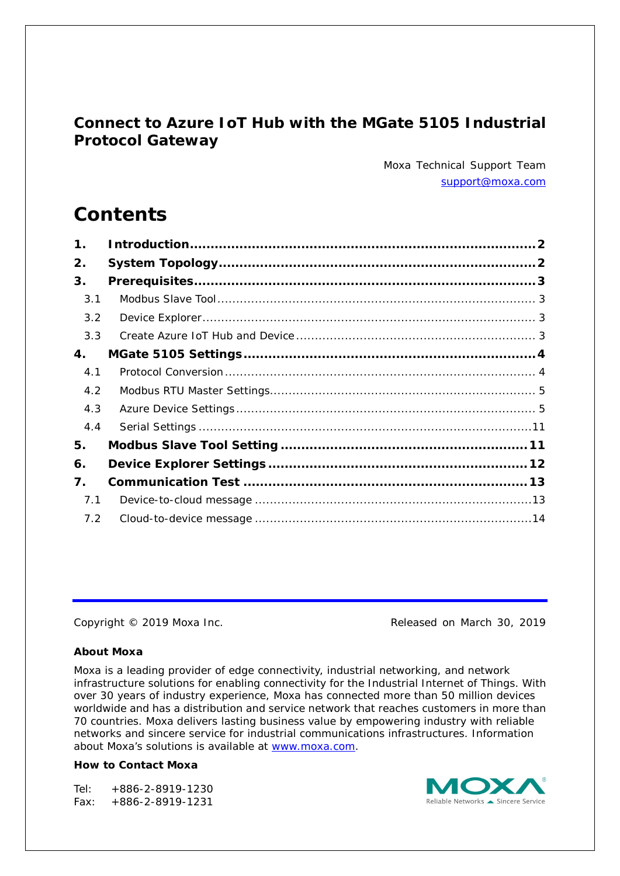## **Connect to Azure IoT Hub with the MGate 5105 Industrial Protocol Gateway**

*Moxa Technical Support Team [support@moxa.com](mailto:support@moxa.com)*

# **Contents**

| $\mathbf 1$ . |  |
|---------------|--|
| 2.            |  |
| 3.            |  |
| 3.1           |  |
| 3.2           |  |
| 3.3           |  |
| 4.            |  |
| 4.1           |  |
| 4.2           |  |
| 4.3           |  |
| 4.4           |  |
| 5.            |  |
| 6.            |  |
| 7.            |  |
| 7.1           |  |
| 7.2           |  |

Copyright © 2019 Moxa Inc. Copyright © 2019 Moxa Inc.

### **About Moxa**

Moxa is a leading provider of edge connectivity, industrial networking, and network infrastructure solutions for enabling connectivity for the Industrial Internet of Things. With over 30 years of industry experience, Moxa has connected more than 50 million devices worldwide and has a distribution and service network that reaches customers in more than 70 countries. Moxa delivers lasting business value by empowering industry with reliable networks and sincere service for industrial communications infrastructures. Information about Moxa's solutions is available at [www.moxa.com.](http://www.moxa.com/)

#### **How to Contact Moxa**

Tel: +886-2-8919-1230 Fax: +886-2-8919-1231

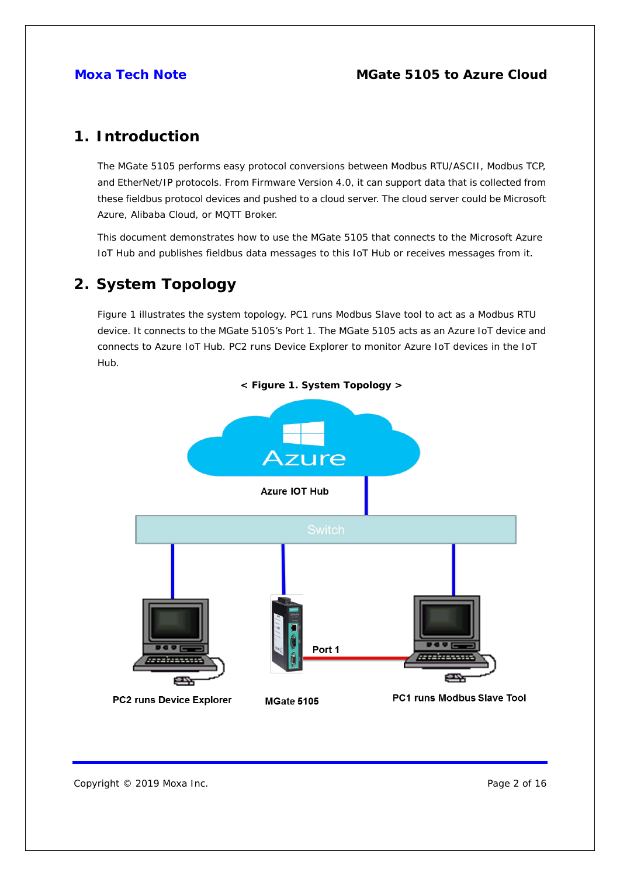## <span id="page-1-0"></span>**1. Introduction**

The MGate 5105 performs easy protocol conversions between Modbus RTU/ASCII, Modbus TCP, and EtherNet/IP protocols. From Firmware Version 4.0, it can support data that is collected from these fieldbus protocol devices and pushed to a cloud server. The cloud server could be Microsoft Azure, Alibaba Cloud, or MQTT Broker.

This document demonstrates how to use the MGate 5105 that connects to the Microsoft Azure IoT Hub and publishes fieldbus data messages to this IoT Hub or receives messages from it.

## <span id="page-1-1"></span>**2. System Topology**

Figure 1 illustrates the system topology. PC1 runs Modbus Slave tool to act as a Modbus RTU device. It connects to the MGate 5105's Port 1. The MGate 5105 acts as an Azure IoT device and connects to Azure IoT Hub. PC2 runs Device Explorer to monitor Azure IoT devices in the IoT Hub.



Copyright © 2019 Moxa Inc. **Page 2 of 16**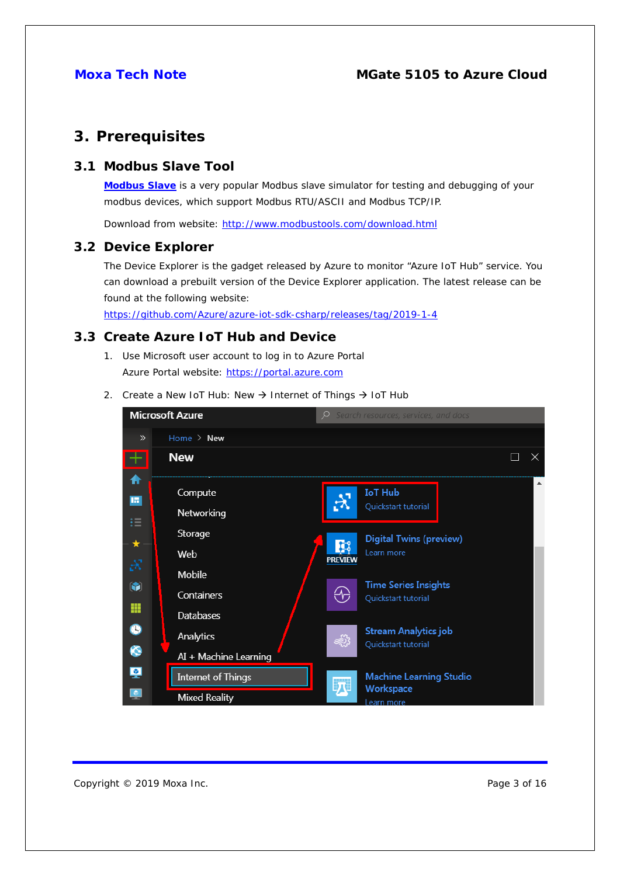## <span id="page-2-0"></span>**3. Prerequisites**

#### <span id="page-2-1"></span>**3.1 Modbus Slave Tool**

**[Modbus Slave](http://www.modbustools.com/modbus_slave.html)** is a very popular Modbus slave simulator for testing and debugging of your modbus devices, which support Modbus RTU/ASCII and Modbus TCP/IP.

Download from website:<http://www.modbustools.com/download.html>

#### <span id="page-2-2"></span>**3.2 Device Explorer**

The Device Explorer is the gadget released by Azure to monitor "Azure IoT Hub" service. You can download a prebuilt version of the Device Explorer application. The latest release can be found at the following website:

<https://github.com/Azure/azure-iot-sdk-csharp/releases/tag/2019-1-4>

### <span id="page-2-3"></span>**3.3 Create Azure IoT Hub and Device**

- 1. Use Microsoft user account to log in to Azure Portal Azure Portal website: [https://portal.azure.com](https://portal.azure.com/)
- 2. Create a New IoT Hub: New  $\rightarrow$  Internet of Things  $\rightarrow$  IoT Hub

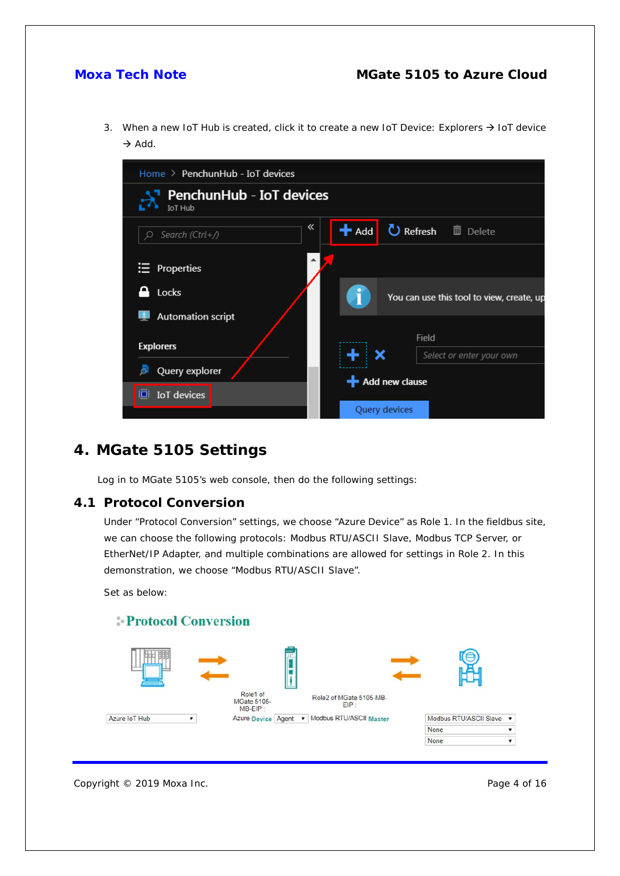3. When a new IoT Hub is created, click it to create a new IoT Device: Explorers  $\rightarrow$  IoT device  $\rightarrow$  Add.



## <span id="page-3-0"></span>**4. MGate 5105 Settings**

Log in to MGate 5105's web console, then do the following settings:

#### <span id="page-3-1"></span>**4.1 Protocol Conversion**

Under "Protocol Conversion" settings, we choose "Azure Device" as Role 1. In the fieldbus site, we can choose the following protocols: Modbus RTU/ASCII Slave, Modbus TCP Server, or EtherNet/IP Adapter, and multiple combinations are allowed for settings in Role 2. In this demonstration, we choose "Modbus RTU/ASCII Slave".

Set as below:





Copyright © 2019 Moxa Inc. **Page 4 of 16**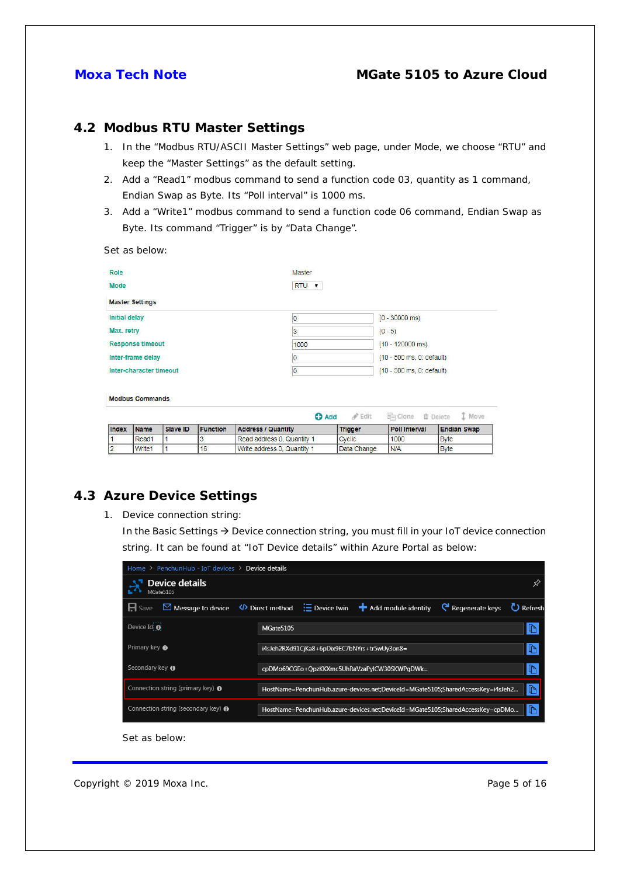#### <span id="page-4-0"></span>**4.2 Modbus RTU Master Settings**

- 1. In the "Modbus RTU/ASCII Master Settings" web page, under Mode, we choose "RTU" and keep the "Master Settings" as the default setting.
- 2. Add a "Read1" modbus command to send a function code 03, quantity as 1 command, Endian Swap as Byte. Its "Poll interval" is 1000 ms.
- 3. Add a "Write1" modbus command to send a function code 06 command, Endian Swap as Byte. Its command "Trigger" is by "Data Change".

Set as below:

| <b>Role</b>             |                         |                 |                 |                             | Master                    |                           |                           |                    |
|-------------------------|-------------------------|-----------------|-----------------|-----------------------------|---------------------------|---------------------------|---------------------------|--------------------|
| <b>Mode</b>             |                         |                 |                 |                             | RTU <b>v</b>              |                           |                           |                    |
|                         | <b>Master Settings</b>  |                 |                 |                             |                           |                           |                           |                    |
| <b>Initial delay</b>    |                         |                 |                 | $\overline{0}$              |                           |                           | $(0 - 30000 \text{ ms})$  |                    |
| Max. retry              |                         |                 |                 | 3                           |                           |                           | $(0 - 5)$                 |                    |
| <b>Response timeout</b> |                         |                 |                 | 1000                        |                           | $(10 - 120000$ ms)        |                           |                    |
| Inter-frame delay       |                         |                 | 0               |                             |                           | (10 - 500 ms, 0: default) |                           |                    |
|                         | Inter-character timeout |                 |                 | $\overline{0}$              | (10 - 500 ms, 0: default) |                           |                           |                    |
|                         | <b>Modbus Commands</b>  |                 |                 |                             | <b>O</b> Add              | $\mathscr{P}$ Edit        | hi Clone <b>ti</b> Delete | I Move             |
| <b>Index</b>            | <b>Name</b>             | <b>Slave ID</b> | <b>Function</b> | <b>Address / Quantity</b>   |                           | <b>Trigger</b>            | <b>Poll Interval</b>      | <b>Endian Swap</b> |
| 1                       | Read1                   |                 | 3               | Read address 0, Quantity 1  |                           | Cyclic                    | 1000                      | <b>Byte</b>        |
| $\overline{2}$          | Write <sub>1</sub>      |                 | 16              | Write address 0, Quantity 1 |                           | Data Change               | N/A                       | <b>Byte</b>        |

#### <span id="page-4-1"></span>**4.3 Azure Device Settings**

1. Device connection string:

In the Basic Settings  $\rightarrow$  Device connection string, you must fill in your IoT device connection string. It can be found at "IoT Device details" within Azure Portal as below:

| Home $\ge$ PenchunHub - IoT devices $\ge$ Device details                          |                                                                                                                      |    |  |  |  |  |  |  |
|-----------------------------------------------------------------------------------|----------------------------------------------------------------------------------------------------------------------|----|--|--|--|--|--|--|
| Device details<br>MGate5105                                                       |                                                                                                                      |    |  |  |  |  |  |  |
| $H$ Save<br>$\boxdot$ Message to device                                           | $\langle \rangle$ Direct method $\equiv$ Device twin $\blacksquare$ Add module identity<br>Regenerate keys C Refresh |    |  |  |  |  |  |  |
| Device Id <b>O</b>                                                                | MGate5105                                                                                                            |    |  |  |  |  |  |  |
| Primary key $\boldsymbol{\Theta}$<br>i4sJeh2RXd91CjKa8+6pDix9EC7bNYrs+tr5wUy3on8= |                                                                                                                      |    |  |  |  |  |  |  |
| Secondary key $\bigoplus$<br>cpDMo69CGEo+QpzKKXmc5UhRaVzaPylCW30SKWPqDWk=         |                                                                                                                      |    |  |  |  |  |  |  |
| Connection string (primary key) $\Theta$                                          | HostName=PenchunHub.azure-devices.net;DeviceId=MGate5105;SharedAccessKey=i4sJeh2                                     |    |  |  |  |  |  |  |
| Connection string (secondary key) $\bigoplus$                                     | HostName=PenchunHub.azure-devices.net;DeviceId=MGate5105;SharedAccessKey=cpDMo                                       | I٣ |  |  |  |  |  |  |

Set as below:

Copyright © 2019 Moxa Inc. **Page 5 of 16**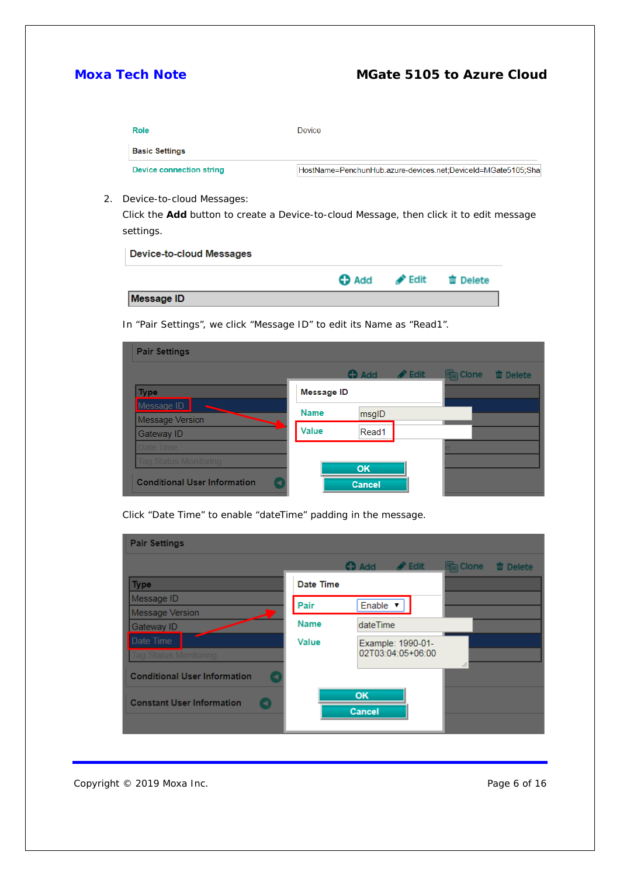| Role                     | Device                                                       |
|--------------------------|--------------------------------------------------------------|
| <b>Basic Settings</b>    |                                                              |
| Device connection string | HostName=PenchunHub.azure-devices.net;DeviceId=MGate5105;Sha |

2. Device-to-cloud Messages:

Click the **Add** button to create a Device-to-cloud Message, then click it to edit message settings.

#### **Device-to-cloud Messages**

|            |  | Add <b>C</b> Edit in Delete |
|------------|--|-----------------------------|
| Message ID |  |                             |

In "Pair Settings", we click "Message ID" to edit its Name as "Read1".

| <b>Pair Settings</b>                |                   |                |                            |          |                 |
|-------------------------------------|-------------------|----------------|----------------------------|----------|-----------------|
|                                     |                   | $\bigodot$ Add | $\blacktriangleright$ Edit | la Clone | <b>世</b> Delete |
| <b>Type</b>                         | <b>Message ID</b> |                |                            |          |                 |
| Message ID                          | <b>Name</b>       | msgID          |                            |          |                 |
| <b>Message Version</b>              |                   |                |                            |          |                 |
| Gateway ID                          | Value             | Read1          |                            |          |                 |
| Date Time                           |                   |                |                            |          |                 |
| <b>Tag Status Monitoring</b>        |                   | OK             |                            |          |                 |
| <b>Conditional User Information</b> |                   | <b>Cancel</b>  |                            |          |                 |

Click "Date Time" to enable "dateTime" padding in the message.

| <b>Pair Settings</b>                    |             |                                            |           |                 |
|-----------------------------------------|-------------|--------------------------------------------|-----------|-----------------|
|                                         |             | <b>O</b> Add<br>$\blacktriangleright$ Edit | les Clone | <b>山</b> Delete |
| <b>Type</b>                             | Date Time   |                                            |           |                 |
| Message ID                              | Pair        | Enable v                                   |           |                 |
| <b>Message Version</b>                  |             |                                            |           |                 |
| Gateway ID                              | <b>Name</b> | dateTime                                   |           |                 |
| Date Time                               | Value       | Example: 1990-01-                          |           |                 |
| Tag Status Monitoring                   |             | 02T03:04:05+06:00                          |           |                 |
| <b>Conditional User Information</b>     |             |                                            |           |                 |
| <b>Constant User Information</b><br>⊣ ) |             | OK<br>Cancel                               |           |                 |
|                                         |             |                                            |           |                 |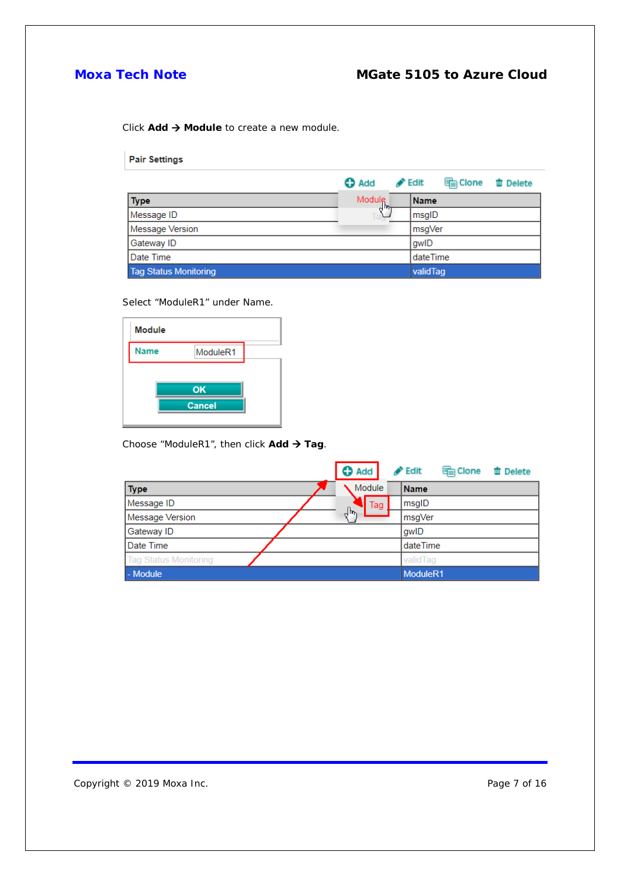Click **Add → Module** to create a new module.

**Pair Settings** 

|                              | <b>O</b> Add        | $\blacktriangleright$ Edit | lea Clone | <b>面 Delete</b> |
|------------------------------|---------------------|----------------------------|-----------|-----------------|
| <b>Type</b>                  | Module $\mathbb{R}$ | <b>Name</b>                |           |                 |
| Message ID                   |                     | msgID                      |           |                 |
| Message Version              |                     | msgVer                     |           |                 |
| Gateway ID                   |                     | qwID                       |           |                 |
| <b>IDate Time</b>            |                     | dateTime                   |           |                 |
| <b>Tag Status Monitoring</b> |                     | validTag                   |           |                 |

Select "ModuleR1" under Name.

| <b>Module</b> |                      |  |
|---------------|----------------------|--|
| <b>Name</b>   | Module <sub>R1</sub> |  |
|               |                      |  |
|               | OK                   |  |
|               | <b>Cancel</b>        |  |
|               |                      |  |

Choose "ModuleR1", then click Add > Tag.

|                              | $\bullet$ Add | $\blacktriangleright$ Edit | <b>legic Clone</b> | <b>曲 Delete</b> |
|------------------------------|---------------|----------------------------|--------------------|-----------------|
| <b>Type</b>                  | Module        | Name                       |                    |                 |
| Message ID                   | Tag           | msgID                      |                    |                 |
| <b>Message Version</b>       | ᡕᢥ            | msgVer                     |                    |                 |
| Gateway ID                   |               | gwID                       |                    |                 |
| Date Time                    |               | dateTime                   |                    |                 |
| <b>Tag Status Monitoring</b> |               | validTag                   |                    |                 |
| - Module                     |               | ModuleR1                   |                    |                 |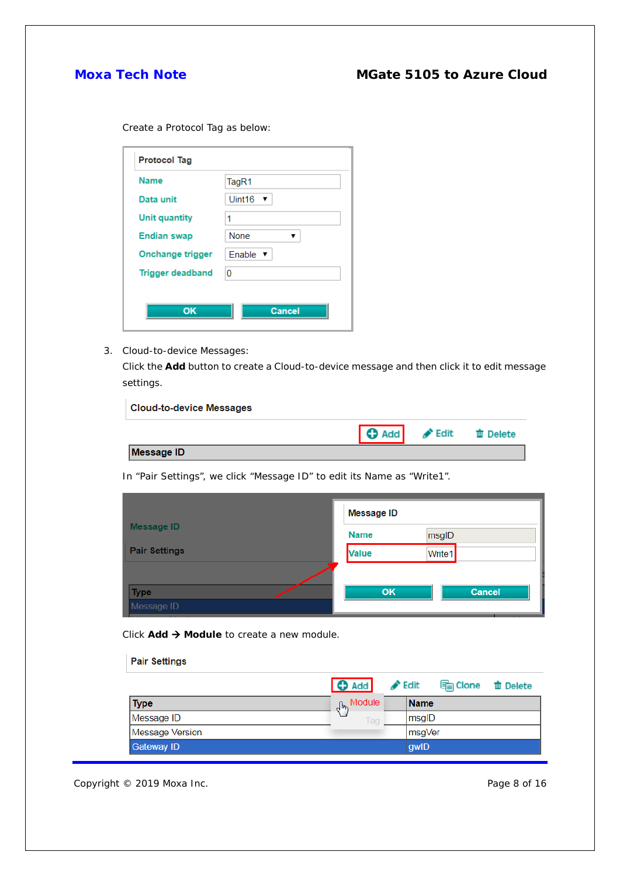Create a Protocol Tag as below:

| <b>Name</b>             | TagR1                       |
|-------------------------|-----------------------------|
| Data unit               | Uint16<br>▼                 |
| <b>Unit quantity</b>    | 1                           |
| <b>Endian swap</b>      | None                        |
| Onchange trigger        | Enable $\blacktriangledown$ |
| <b>Trigger deadband</b> | 0                           |

3. Cloud-to-device Messages:

Click the **Add** button to create a Cloud-to-device message and then click it to edit message settings.

| <b>Cloud-to-device Messages</b> |                                                   |  |
|---------------------------------|---------------------------------------------------|--|
|                                 | <b>O</b> Add <del>Ø</del> Edit <b>time</b> Delete |  |
| <b>Message ID</b>               |                                                   |  |

In "Pair Settings", we click "Message ID" to edit its Name as "Write1".

|                      | <b>Message ID</b> |               |  |  |
|----------------------|-------------------|---------------|--|--|
| <b>Message ID</b>    | <b>Name</b>       | msgID         |  |  |
| <b>Pair Settings</b> | <b>Value</b>      | Write1        |  |  |
|                      |                   |               |  |  |
| <b>Type</b>          | OK.               | <b>Cancel</b> |  |  |
| Message ID           |                   |               |  |  |

Click **Add → Module** to create a new module.

| <b>Pair Settings</b>   |                                    |                            |           |                 |
|------------------------|------------------------------------|----------------------------|-----------|-----------------|
|                        | <b>O</b> Add                       | $\blacktriangleright$ Edit | les Clone | <b>血 Delete</b> |
| <b>Type</b>            | <sub>a</sub> n <sub>n</sub> Module | <b>Name</b>                |           |                 |
| Message ID             | Tag                                | msgID                      |           |                 |
| <b>Message Version</b> |                                    |                            | ∣msqVer   |                 |
| <b>Gateway ID</b>      |                                    | qwlD                       |           |                 |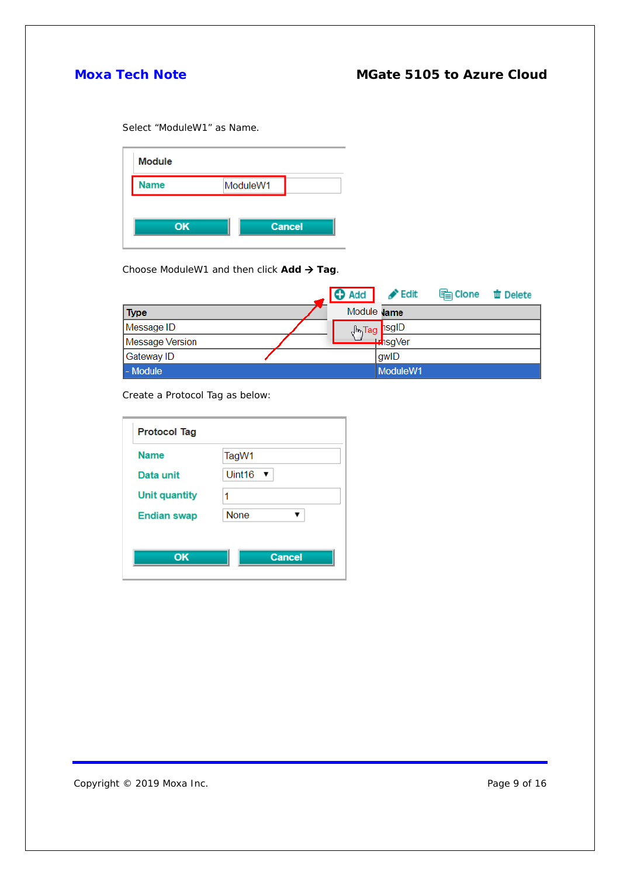Select "ModuleW1" as Name.

| <b>Module</b> |          |               |
|---------------|----------|---------------|
| <b>Name</b>   | ModuleW1 |               |
| OK            |          | <b>Cancel</b> |

Choose ModuleW1 and then click Add → Tag.

|                 | ↽ | <b>O</b> Add       | $\blacktriangleright$ Edit | les Clone | <b>曲 Delete</b> |
|-----------------|---|--------------------|----------------------------|-----------|-----------------|
| <b>Type</b>     |   | Module <b>Jame</b> |                            |           |                 |
| Message ID      |   |                    | J <sub>m</sub> Tag nsgID   |           |                 |
| Message Version |   |                    | — ⊭hsgVer                  |           |                 |
| Gateway ID      |   |                    | gwlD                       |           |                 |
| - Module        |   |                    | ModuleW1                   |           |                 |

Create a Protocol Tag as below:

| <b>Name</b>          | TagW1              |
|----------------------|--------------------|
| Data unit            | Uint <sub>16</sub> |
| <b>Unit quantity</b> | 1                  |
| <b>Endian swap</b>   | <b>None</b>        |

Copyright © 2019 Moxa Inc. extending the control of the Page 9 of 16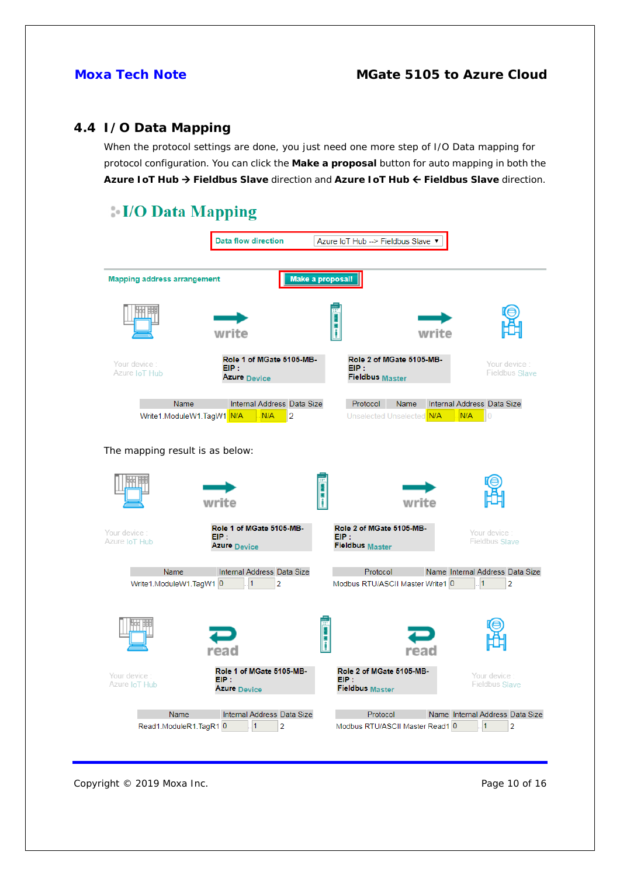## **4.4 I/O Data Mapping**

When the protocol settings are done, you just need one more step of I/O Data mapping for protocol configuration. You can click the **Make a proposal** button for auto mapping in both the Azure IoT Hub → Fieldbus Slave direction and Azure IoT Hub ← Fieldbus Slave direction.

# **I/O Data Mapping**

|                                    | <b>Data flow direction</b>                                  |                                   | Azure IoT Hub -- > Fieldbus Slave ▼                |                                               |
|------------------------------------|-------------------------------------------------------------|-----------------------------------|----------------------------------------------------|-----------------------------------------------|
| <b>Mapping address arrangement</b> |                                                             | Make a proposal!                  |                                                    |                                               |
|                                    | write                                                       |                                   | write                                              |                                               |
| Your device<br>Azure IoT Hub       | Role 1 of MGate 5105-MB-<br>EIP:<br>Azure Device            | EIP:                              | Role 2 of MGate 5105-MB-<br><b>Fieldbus Master</b> | Your device<br><b>Fieldbus Slave</b>          |
| Name<br>Write1.ModuleW1.TagW1 N/A  | Internal Address Data Size<br>N/A<br>$\overline{2}$         | Protocol                          | Name<br>Unselected Unselected N/A                  | Internal Address Data Size<br>N/A<br>$\theta$ |
| The mapping result is as below:    |                                                             |                                   |                                                    |                                               |
|                                    | write                                                       |                                   | write                                              |                                               |
| Your device :<br>Azure IoT Hub     | Role 1 of MGate 5105-MB-<br>EIP:<br>Azure <sub>Device</sub> | EIP:<br><b>Fieldbus Master</b>    | Role 2 of MGate 5105-MB-                           | Your device :<br><b>Fieldbus Slave</b>        |
| Name<br>Write1.ModuleW1.TagW1 0    | Internal Address Data Size<br>$\overline{2}$                |                                   | Protocol<br>Modbus RTU/ASCII Master Write1 0       | Name Internal Address Data Size<br>2          |
|                                    | read                                                        |                                   | reac                                               |                                               |
| Your device<br>Azure IoT Hub       | Role 1 of MGate 5105-MB-<br>EIP:<br><b>Azure</b> Device     | $EIP$ :<br><b>Fieldbus Master</b> | Role 2 of MGate 5105-MB-                           | Your device<br><b>Fieldbus Slave</b>          |
| Name<br>Read1.ModuleR1.TagR1 0     | Internal Address Data Size<br>1<br>$\overline{2}$           |                                   | Protocol<br>Modbus RTU/ASCII Master Read1 0        | Name Internal Address Data Size<br>1<br>2     |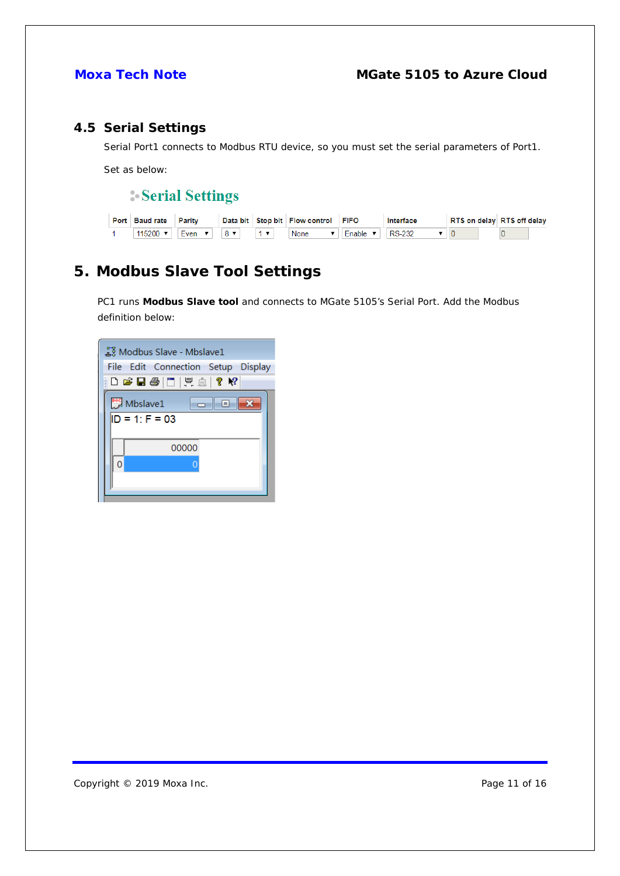## <span id="page-10-0"></span>**4.5 Serial Settings**

Serial Port1 connects to Modbus RTU device, so you must set the serial parameters of Port1.

Set as below:

Serial Settings

| <b>Port Baud rate Parity</b>  |                                                                  |  | Data bit Stop bit Flow control FIFO |                     | Interface     | RTS on delay RTS off delay |
|-------------------------------|------------------------------------------------------------------|--|-------------------------------------|---------------------|---------------|----------------------------|
| $115200$ $\blacktriangledown$ | $\vert$ Even $\vert \mathbf{v} \vert$ 8 $\vert \mathbf{v} \vert$ |  | <b>None</b>                         | Enable $\mathbf{v}$ | <b>RS-232</b> |                            |

# <span id="page-10-1"></span>**5. Modbus Slave Tool Settings**

PC1 runs **Modbus Slave tool** and connects to MGate 5105's Serial Port. Add the Modbus definition below:

| Modbus Slave - Mbslave1            |  |  |  |  |
|------------------------------------|--|--|--|--|
| File Edit Connection Setup Display |  |  |  |  |
| D G B @   F   F   Q   ? №          |  |  |  |  |
| Mbslave1<br>-0                     |  |  |  |  |
| $ID = 1: F = 03$                   |  |  |  |  |
| 00000                              |  |  |  |  |
|                                    |  |  |  |  |
|                                    |  |  |  |  |
|                                    |  |  |  |  |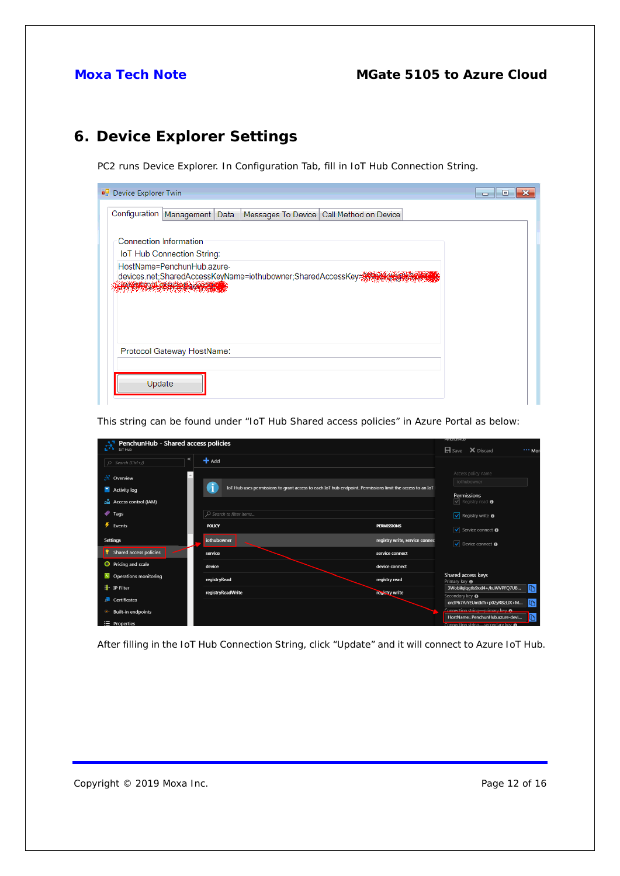# <span id="page-11-0"></span>**6. Device Explorer Settings**

PC2 runs Device Explorer. In Configuration Tab, fill in IoT Hub Connection String.

| <b>Device Explorer Twin</b>                                                 | e<br>- |
|-----------------------------------------------------------------------------|--------|
| Configuration Management Data<br>Messages To Device   Call Method on Device |        |
| <b>Connection Information</b>                                               |        |
| IoT Hub Connection String:                                                  |        |
| HostName=PenchunHub.azure-<br><b>A PARTITION DE CONTRA</b>                  |        |
| Protocol Gateway HostName:                                                  |        |
| Update                                                                      |        |

This string can be found under "IoT Hub Shared access policies" in Azure Portal as below:

| PenchunHub - Shared access policies<br>环<br>IoT Hub    |                          |                                                                                                           | Репспитнио<br>$\mathbf{H}$ Save $\mathbf{X}$ Discard<br>*** Mor |
|--------------------------------------------------------|--------------------------|-----------------------------------------------------------------------------------------------------------|-----------------------------------------------------------------|
| $\ll$<br>Search (Ctrl+/)<br>$\circ$                    | $+$ Add                  |                                                                                                           |                                                                 |
| $\mathbb{R}$ Overview                                  |                          |                                                                                                           | Access policy name<br>iothubowner                               |
| Activity log                                           |                          | IoT Hub uses permissions to grant access to each IoT hub endpoint. Permissions limit the access to an IoT | Permissions                                                     |
| aM.<br>Access control (IAM)                            |                          |                                                                                                           | $\sqrt{\ }$ Registry read $\bm{\theta}$                         |
| Tags                                                   | O Search to filter items |                                                                                                           | $\sqrt{\phantom{a}}$ Registry write $\odot$                     |
| Events                                                 | <b>POLICY</b>            | <b>PERMISSIONS</b>                                                                                        | V Service connect <b>↑</b>                                      |
| <b>Settings</b>                                        | iothubowner              | registry write, service connect                                                                           | V Device connect <b>⊕</b>                                       |
| Shared access policies                                 | service                  | service connect                                                                                           |                                                                 |
| <b>O</b> Pricing and scale                             | device                   | device connect                                                                                            |                                                                 |
| <b>Operations monitoring</b><br>$\left  \cdot \right $ | registryRead             | registry read                                                                                             | Shared access keys<br>Primary key <b>O</b>                      |
| 4<br>IP Filter                                         | registryReadWrite        | registry write                                                                                            | $\mathbb{D}$<br>3Wobilglqgtls9xxI4+/kuWVPFQ7UB                  |
| Certificates                                           |                          |                                                                                                           | Secondary key <b>O</b><br>m<br>on3P67ArYEUmIkfh+p02yRBzLJX+M    |
| <b>Built-in endpoints</b>                              |                          |                                                                                                           | Connection string-primary key A                                 |
|                                                        |                          |                                                                                                           | HostName=PenchunHub.azure-devi<br><b>Li</b> n                   |
| $\equiv$ Properties                                    |                          |                                                                                                           | Connection string-secondary key A                               |

After filling in the IoT Hub Connection String, click "Update" and it will connect to Azure IoT Hub.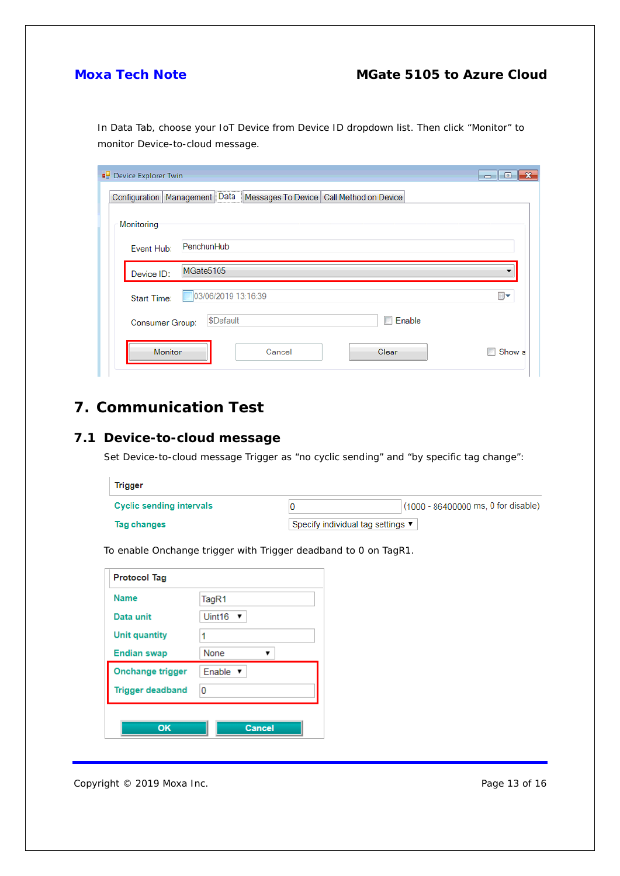In Data Tab, choose your IoT Device from Device ID dropdown list. Then click "Monitor" to monitor Device-to-cloud message.

| Device Explorer Twin |                                                                                | $\overline{\phantom{a}}$ $\overline{\phantom{a}}$<br>$\mathbf x$ |
|----------------------|--------------------------------------------------------------------------------|------------------------------------------------------------------|
|                      | Configuration   Management   Data   Messages To Device   Call Method on Device |                                                                  |
| Monitoring           |                                                                                |                                                                  |
| Event Hub:           | PenchunHub                                                                     |                                                                  |
| Device ID:           | MGate5105                                                                      |                                                                  |
| <b>Start Time:</b>   | 03/06/2019 13:16:39                                                            | ⊞▼                                                               |
| Consumer Group:      | <b>Enable</b><br>\$Default                                                     |                                                                  |
| Monitor              | Clear<br>Cancel                                                                | Show s<br>n                                                      |

# <span id="page-12-0"></span>**7. Communication Test**

## <span id="page-12-1"></span>**7.1 Device-to-cloud message**

Set Device-to-cloud message Trigger as "no cyclic sending" and "by specific tag change":

| <b>Trigger</b>                  |                                                       |
|---------------------------------|-------------------------------------------------------|
| <b>Cyclic sending intervals</b> | $(1000 - 86400000 \text{ ms}, 0 \text{ for disable})$ |
| Tag changes                     | Specify individual tag settings ▼                     |

| <b>Protocol Tag</b> |                                           |  |
|---------------------|-------------------------------------------|--|
| <b>Name</b>         | TagR1                                     |  |
| <b>DOMESTIC</b>     | <b>LELLAD</b><br>$\overline{\phantom{a}}$ |  |

To enable Onchange trigger with Trigger deadband to 0 on TagR1.

| OK                      | Cancel                      |
|-------------------------|-----------------------------|
| <b>Trigger deadband</b> | 0                           |
| <b>Onchange trigger</b> | Enable $\blacktriangledown$ |
| <b>Endian swap</b>      | None                        |
| <b>Unit quantity</b>    | 1                           |
| Data unit               | Uint16 $\blacktriangledown$ |
| <b>Name</b>             | TagR1                       |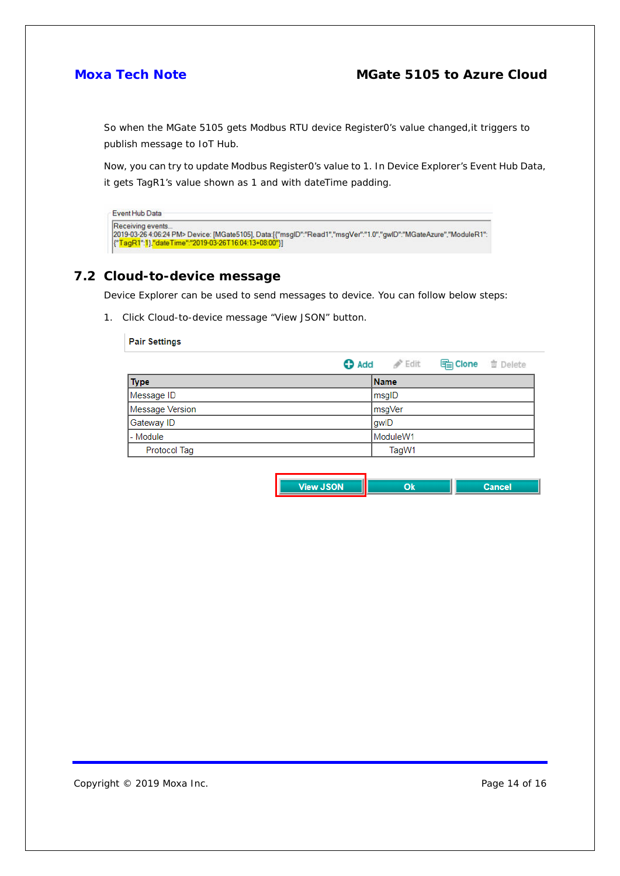So when the MGate 5105 gets Modbus RTU device Register0's value changed,it triggers to publish message to IoT Hub.

Now, you can try to update Modbus Register0's value to 1. In Device Explorer's Event Hub Data, it gets TagR1's value shown as 1 and with dateTime padding.

| Event Hub Data                                                                                                                                                                                 |  |
|------------------------------------------------------------------------------------------------------------------------------------------------------------------------------------------------|--|
| Receiving events<br> 2019-03-26 4:06:24 PM> Device: [MGate5105], Data:[{"msqlD":"Read1","msqVer":"1.0","qwlD":"MGateAzure","ModuleR1":<br>["TagR1":1},"dateTime":"2019-03-26T16:04:13+08:00"}] |  |

#### <span id="page-13-0"></span>**7.2 Cloud-to-device message**

Device Explorer can be used to send messages to device. You can follow below steps:

1. Click Cloud-to-device message "View JSON" button.

#### **Pair Settings**

|                 | $\bigoplus$ Add $\bigotimes^{\infty}$ Edit | <b>high Clone the Delete</b> |  |
|-----------------|--------------------------------------------|------------------------------|--|
| <b>Type</b>     | <b>Name</b>                                |                              |  |
| Message ID      | msgID                                      |                              |  |
| Message Version | msgVer                                     |                              |  |
| Gateway ID      | gwID                                       |                              |  |
| l - Module      | ModuleW1                                   |                              |  |
| Protocol Tag    | TagW1                                      |                              |  |

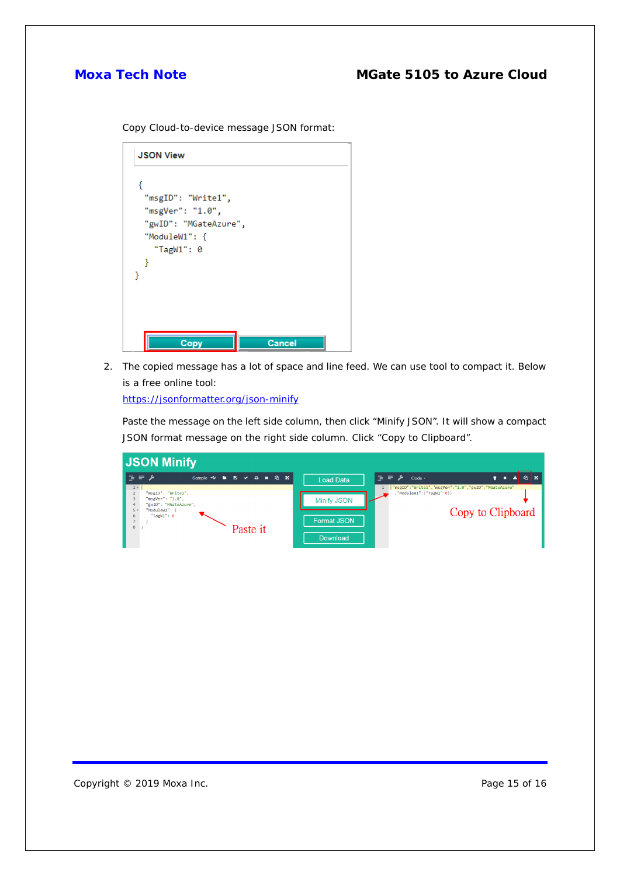Copy Cloud-to-device message JSON format:

| <b>JSON View</b>      |               |
|-----------------------|---------------|
|                       |               |
| "msgID": "Write1",    |               |
| "msgVer": "1.0",      |               |
| "gwID": "MGateAzure", |               |
| "ModuleW1": $\{$      |               |
| "TagW1": $\theta$     |               |
| ł                     |               |
|                       |               |
|                       |               |
|                       |               |
|                       |               |
|                       |               |
|                       |               |
| <b>Copy</b>           | <b>Cancel</b> |

2. The copied message has a lot of space and line feed. We can use tool to compact it. Below is a free online tool:

<https://jsonformatter.org/json-minify>

Paste the message on the left side column, then click "Minify JSON". It will show a compact JSON format message on the right side column. Click "Copy to Clipboard".